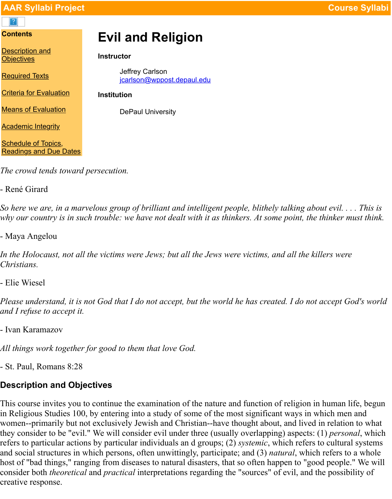| <b>Required Texts</b>                                       | <b>Jeffrey Carlson</b><br>jcarlson@wppost.depaul.edu |
|-------------------------------------------------------------|------------------------------------------------------|
| <b>Criteria for Evaluation</b>                              | <b>Institution</b>                                   |
| <b>Means of Evaluation</b>                                  | <b>DePaul University</b>                             |
| <b>Academic Integrity</b>                                   |                                                      |
| <b>Schedule of Topics,</b><br><b>Readings and Due Dates</b> |                                                      |

*[The crowd tends to](#page-2-0)ward persecution.*

[- René Girard](#page-4-0)

*So here we are, in a marvelous group of brilliant and intelligent people, blithely talking about e [why our country is in su](#page-4-1)ch trouble: we have not dealt with it as thinkers. At some point, the thin* 

- Maya Angelou

*In the Holocaust, not all the victims were Jews; but all the Jews were victims, and all the killers were Christians.*

- Elie Wiesel

*Please understand, it is not God that I do not accept, but the world he has created. I do not acce and I refuse to accept it.*

- Ivan Karamazov

*All things work together for good to them that love God.*

- St. Paul, Romans 8:28

# **Description and Objectives**

<span id="page-0-0"></span>This course invites you to continue the examination of the nature and function of religion in human life, but a in Religious Studies 100, by entering into a study of some of the most significant ways in which women--primarily but not exclusively Jewish and Christian--have thought about, and lived in re they consider to be "evil." We will consider evil under three (usually overlapping) aspects: (1)  $p$ refers to particular actions by particular individuals an d groups; (2) *systemic*, which refers to cu and social structures in which persons, often unwittingly, participate; and (3) *natural*, which ref host of "bad things," ranging from diseases to natural disasters, that so often happen to "good pe consider both *theoretical* and *practical* interpretations regarding the "sources" of evil, and the p creative response.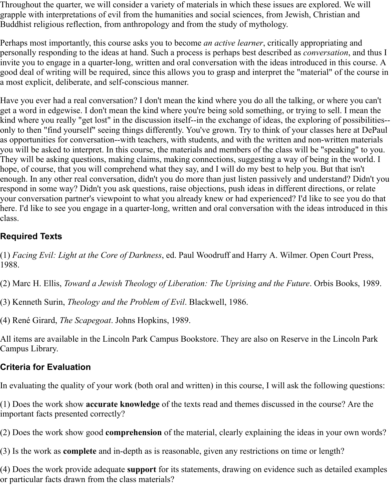Throughout the quarter, we will consider a variety of materials in which these issues are explored. We will grapple with interpretations of evil from the humanities and social sciences, from Jewish, Christian and Buddhist religious reflection, from anthropology and from the study of mythology.

Perhaps most importantly, this course asks you to become *an active learner*, critically appropriating and personally responding to the ideas at hand. Such a process is perhaps best described as *conversation*, and thus I invite you to engage in a quarter-long, written and oral conversation with the ideas introduced in this course. A good deal of writing will be required, since this allows you to grasp and interpret the "material" of the course in a most explicit, deliberate, and self-conscious manner.

Have you ever had a real conversation? I don't mean the kind where you do all the talking, or where you can't get a word in edgewise. I don't mean the kind where you're being sold something, or trying to sell. I mean the kind where you really "get lost" in the discussion itself--in the exchange of ideas, the exploring of possibilities- only to then "find yourself" seeing things differently. You've grown. Try to think of your classes here at DePaul as opportunities for conversation--with teachers, with students, and with the written and non-written materials you will be asked to interpret. In this course, the materials and members of the class will be "speaking" to you. They will be asking questions, making claims, making connections, suggesting a way of being in the world. I hope, of course, that you will comprehend what they say, and I will do my best to help you. But that isn't enough. In any other real conversation, didn't you do more than just listen passively and understand? Didn't you respond in some way? Didn't you ask questions, raise objections, push ideas in different directions, or relate your conversation partner's viewpoint to what you already knew or had experienced? I'd like to see you do that here. I'd like to see you engage in a quarter-long, written and oral conversation with the ideas introduced in this class.

## <span id="page-1-0"></span>**Required Texts**

(1) *Facing Evil: Light at the Core of Darkness*, ed. Paul Woodruff and Harry A. Wilmer. Open Court Press, 1988.

(2) Marc H. Ellis, *Toward a Jewish Theology of Liberation: The Uprising and the Future*. Orbis Books, 1989.

(3) Kenneth Surin, *Theology and the Problem of Evil*. Blackwell, 1986.

(4) René Girard, *The Scapegoat*. Johns Hopkins, 1989.

All items are available in the Lincoln Park Campus Bookstore. They are also on Reserve in the Lincoln Park Campus Library.

## **Criteria for Evaluation**

In evaluating the quality of your work (both oral and written) in this course, I will ask the following questions:

(1) Does the work show **accurate knowledge** of the texts read and themes discussed in the course? Are the important facts presented correctly?

(2) Does the work show good **comprehension** of the material, clearly explaining the ideas in your own words?

(3) Is the work as **complete** and in-depth as is reasonable, given any restrictions on time or length?

(4) Does the work provide adequate **support** for its statements, drawing on evidence such as detailed examples or particular facts drawn from the class materials?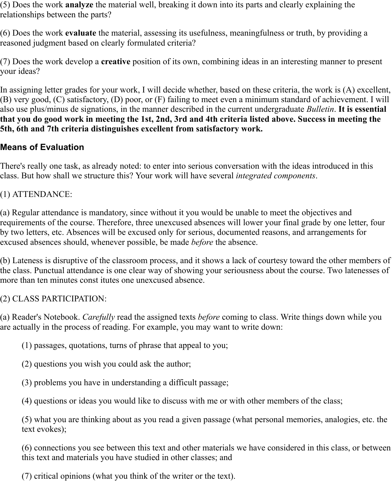(5) Does the work **analyze** the material well, breaking it down into its parts and clearly explaining the relationships between the parts?

(6) Does the work **evaluate** the material, assessing its usefulness, meaningfulness or truth, by providing a reasoned judgment based on clearly formulated criteria?

(7) Does the work develop a **creative** position of its own, combining ideas in an interesting manner to present your ideas?

In assigning letter grades for your work, I will decide whether, based on these criteria, the work is (A) excellent, (B) very good, (C) satisfactory, (D) poor, or (F) failing to meet even a minimum standard of achievement. I will also use plus/minus de signations, in the manner described in the current undergraduate *Bulletin*. **It is essential that you do good work in meeting the 1st, 2nd, 3rd and 4th criteria listed above. Success in meeting the 5th, 6th and 7th criteria distinguishes excellent from satisfactory work.**

## <span id="page-2-0"></span>**Means of Evaluation**

There's really one task, as already noted: to enter into serious conversation with the ideas introduced in this class. But how shall we structure this? Your work will have several *integrated components*.

## (1) ATTENDANCE:

(a) Regular attendance is mandatory, since without it you would be unable to meet the objectives and requirements of the course. Therefore, three unexcused absences will lower your final grade by one letter, four by two letters, etc. Absences will be excused only for serious, documented reasons, and arrangements for excused absences should, whenever possible, be made *before* the absence.

(b) Lateness is disruptive of the classroom process, and it shows a lack of courtesy toward the other members of the class. Punctual attendance is one clear way of showing your seriousness about the course. Two latenesses of more than ten minutes const itutes one unexcused absence.

## (2) CLASS PARTICIPATION:

(a) Reader's Notebook. *Carefully* read the assigned texts *before* coming to class. Write things down while you are actually in the process of reading. For example, you may want to write down:

- (1) passages, quotations, turns of phrase that appeal to you;
- (2) questions you wish you could ask the author;
- (3) problems you have in understanding a difficult passage;
- (4) questions or ideas you would like to discuss with me or with other members of the class;

(5) what you are thinking about as you read a given passage (what personal memories, analogies, etc. the text evokes);

(6) connections you see between this text and other materials we have considered in this class, or between this text and materials you have studied in other classes; and

(7) critical opinions (what you think of the writer or the text).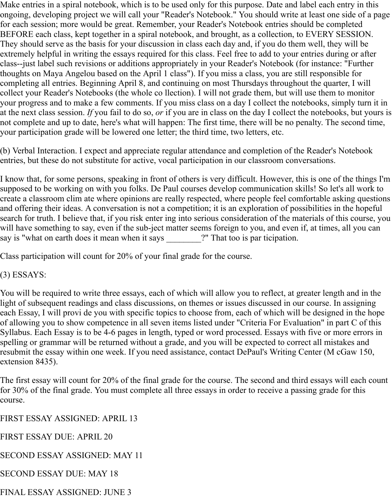Make entries in a spiral notebook, which is to be used only for this purpose. Date and label each entry in this ongoing, developing project we will call your "Reader's Notebook." You should write at least one side of a page for each session; more would be great. Remember, your Reader's Notebook entries should be completed BEFORE each class, kept together in a spiral notebook, and brought, as a collection, to EVERY SESSION. They should serve as the basis for your discussion in class each day and, if you do them well, they will be extremely helpful in writing the essays required for this class. Feel free to add to your entries during or after class--just label such revisions or additions appropriately in your Reader's Notebook (for instance: "Further thoughts on Maya Angelou based on the April 1 class"). If you miss a class, you are still responsible for completing all entries. Beginning April 8, and continuing on most Thursdays throughout the quarter, I will collect your Reader's Notebooks (the whole co llection). I will not grade them, but will use them to monitor your progress and to make a few comments. If you miss class on a day I collect the notebooks, simply turn it in at the next class session. *If* you fail to do so, *or* if you are in class on the day I collect the notebooks, but yours is not complete and up to date, here's what will happen: The first time, there will be no penalty. The second time, your participation grade will be lowered one letter; the third time, two letters, etc.

(b) Verbal Interaction. I expect and appreciate regular attendance and completion of the Reader's Notebook entries, but these do not substitute for active, vocal participation in our classroom conversations.

I know that, for some persons, speaking in front of others is very difficult. However, this is one of the things I'm supposed to be working on with you folks. De Paul courses develop communication skills! So let's all work to create a classroom clim ate where opinions are really respected, where people feel comfortable asking questions and offering their ideas. A conversation is not a competition; it is an exploration of possibilities in the hopeful search for truth. I believe that, if you risk enter ing into serious consideration of the materials of this course, you will have something to say, even if the sub-ject matter seems foreign to you, and even if, at times, all you can say is "what on earth does it mean when it says \_\_\_\_\_\_\_?" That too is par ticipation.

Class participation will count for 20% of your final grade for the course.

(3) ESSAYS:

You will be required to write three essays, each of which will allow you to reflect, at greater length and in the light of subsequent readings and class discussions, on themes or issues discussed in our course. In assigning each Essay, I will provi de you with specific topics to choose from, each of which will be designed in the hope of allowing you to show competence in all seven items listed under "Criteria For Evaluation" in part C of this Syllabus. Each Essay is to be 4-6 pages in length, typed or word processed. Essays with five or more errors in spelling or grammar will be returned without a grade, and you will be expected to correct all mistakes and resubmit the essay within one week. If you need assistance, contact DePaul's Writing Center (M cGaw 150, extension 8435).

The first essay will count for 20% of the final grade for the course. The second and third essays will each count for 30% of the final grade. You must complete all three essays in order to receive a passing grade for this course.

FIRST ESSAY ASSIGNED: APRIL 13

FIRST ESSAY DUE: APRIL 20

SECOND ESSAY ASSIGNED: MAY 11

SECOND ESSAY DUE: MAY 18

FINAL ESSAY ASSIGNED: JUNE 3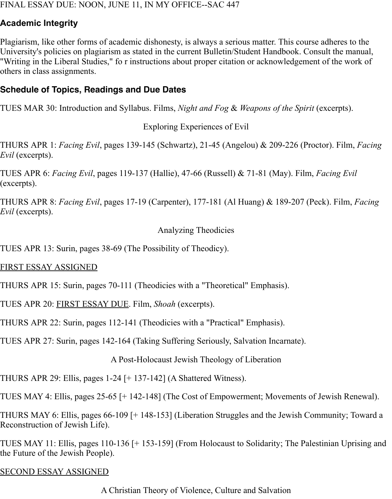#### FINAL ESSAY DUE: NOON, JUNE 11, IN MY OFFICE--SAC 447

## <span id="page-4-0"></span>**Academic Integrity**

Plagiarism, like other forms of academic dishonesty, is always a serious matter. This course adheres to the University's policies on plagiarism as stated in the current Bulletin/Student Handbook. Consult the manual, "Writing in the Liberal Studies," fo r instructions about proper citation or acknowledgement of the work of others in class assignments.

## <span id="page-4-1"></span>**Schedule of Topics, Readings and Due Dates**

TUES MAR 30: Introduction and Syllabus. Films, *Night and Fog* & *Weapons of the Spirit* (excerpts).

Exploring Experiences of Evil

THURS APR 1: *Facing Evil*, pages 139-145 (Schwartz), 21-45 (Angelou) & 209-226 (Proctor). Film, *Facing Evil* (excerpts).

TUES APR 6: *Facing Evil*, pages 119-137 (Hallie), 47-66 (Russell) & 71-81 (May). Film, *Facing Evil* (excerpts).

THURS APR 8: *Facing Evil*, pages 17-19 (Carpenter), 177-181 (Al Huang) & 189-207 (Peck). Film, *Facing Evil* (excerpts).

## Analyzing Theodicies

TUES APR 13: Surin, pages 38-69 (The Possibility of Theodicy).

## FIRST ESSAY ASSIGNED

THURS APR 15: Surin, pages 70-111 (Theodicies with a "Theoretical" Emphasis).

TUES APR 20: FIRST ESSAY DUE. Film, *Shoah* (excerpts).

THURS APR 22: Surin, pages 112-141 (Theodicies with a "Practical" Emphasis).

TUES APR 27: Surin, pages 142-164 (Taking Suffering Seriously, Salvation Incarnate).

A Post-Holocaust Jewish Theology of Liberation

THURS APR 29: Ellis, pages 1-24 [+ 137-142] (A Shattered Witness).

TUES MAY 4: Ellis, pages 25-65 [+ 142-148] (The Cost of Empowerment; Movements of Jewish Renewal).

THURS MAY 6: Ellis, pages 66-109 [+ 148-153] (Liberation Struggles and the Jewish Community; Toward a Reconstruction of Jewish Life).

TUES MAY 11: Ellis, pages 110-136 [+ 153-159] (From Holocaust to Solidarity; The Palestinian Uprising and the Future of the Jewish People).

## SECOND ESSAY ASSIGNED

A Christian Theory of Violence, Culture and Salvation